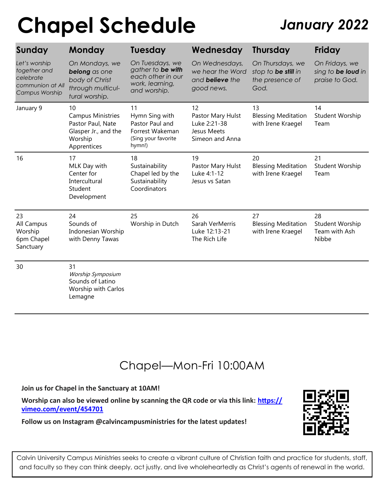# **Chapel Schedule** *January 2022*

| Sunday                                                                           | <b>Monday</b>                                                                                         | <b>Tuesday</b>                                                                               | Wednesday                                                                  | <b>Thursday</b>                                                    | <b>Friday</b>                                          |
|----------------------------------------------------------------------------------|-------------------------------------------------------------------------------------------------------|----------------------------------------------------------------------------------------------|----------------------------------------------------------------------------|--------------------------------------------------------------------|--------------------------------------------------------|
| Let's worship<br>together and<br>celebrate<br>communion at All<br>Campus Worship | On Mondays, we<br>belong as one<br>body of Christ<br>through multicul-<br>tural worship.              | On Tuesdays, we<br>gather to be with<br>each other in our<br>work, learning,<br>and worship. | On Wednesdays,<br>we hear the Word<br>and <b>believe</b> the<br>good news. | On Thursdays, we<br>stop to be still in<br>the presence of<br>God. | On Fridays, we<br>sing to be loud in<br>praise to God. |
| January 9                                                                        | 10<br><b>Campus Ministries</b><br>Pastor Paul, Nate<br>Glasper Jr., and the<br>Worship<br>Apprentices | 11<br>Hymn Sing with<br>Pastor Paul and<br>Forrest Wakeman<br>(Sing your favorite<br>hymn!)  | 12<br>Pastor Mary Hulst<br>Luke 2:21-38<br>Jesus Meets<br>Simeon and Anna  | 13<br><b>Blessing Meditation</b><br>with Irene Kraegel             | 14<br>Student Worship<br>Team                          |
| 16                                                                               | 17<br>MLK Day with<br>Center for<br>Intercultural<br>Student<br>Development                           | 18<br>Sustainability<br>Chapel led by the<br>Sustainability<br>Coordinators                  | 19<br>Pastor Mary Hulst<br>Luke 4:1-12<br>Jesus vs Satan                   | 20<br><b>Blessing Meditation</b><br>with Irene Kraegel             | 21<br>Student Worship<br>Team                          |
| 23<br>All Campus<br>Worship<br>6pm Chapel<br>Sanctuary                           | 24<br>Sounds of<br>Indonesian Worship<br>with Denny Tawas                                             | 25<br>Worship in Dutch                                                                       | 26<br>Sarah VerMerris<br>Luke 12:13-21<br>The Rich Life                    | 27<br><b>Blessing Meditation</b><br>with Irene Kraegel             | 28<br>Student Worship<br>Team with Ash<br>Nibbe        |
| 30                                                                               | 31<br>Worship Symposium<br>Sounds of Latino<br><b>Worship with Carlos</b><br>Lemagne                  |                                                                                              |                                                                            |                                                                    |                                                        |

### Chapel—Mon-Fri 10:00AM

### **Join us for Chapel in the Sanctuary at 10AM!**

**Worship can also be viewed online by scanning the QR code or via this link: [https://](https://vimeo.com/event/454701) [vimeo.com/event/454701](https://vimeo.com/event/454701)**



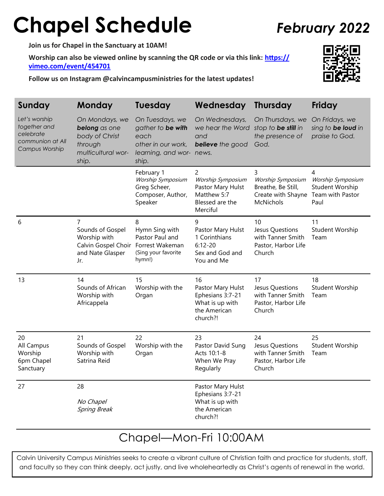## **Chapel Schedule** *February 2022*

**Join us for Chapel in the Sanctuary at 10AM!**

**Worship can also be viewed online by scanning the QR code or via this link: [https://](https://vimeo.com/event/454701) [vimeo.com/event/454701](https://vimeo.com/event/454701)**

**Follow us on Instagram @calvincampusministries for the latest updates!**

| Sunday                                                                           | <b>Monday</b>                                                                                           | <b>Tuesday</b>                                                                                          | Wednesday                                                                                              | <b>Thursday</b>                                                                                  | <b>Friday</b>                                          |
|----------------------------------------------------------------------------------|---------------------------------------------------------------------------------------------------------|---------------------------------------------------------------------------------------------------------|--------------------------------------------------------------------------------------------------------|--------------------------------------------------------------------------------------------------|--------------------------------------------------------|
| Let's worship<br>together and<br>celebrate<br>communion at All<br>Campus Worship | On Mondays, we<br>belong as one<br>body of Christ<br>through<br>multicultural wor-<br>ship.             | On Tuesdays, we<br>gather to be with<br>each<br>other in our work,<br>learning, and wor- news.<br>ship. | On Wednesdays,<br>we hear the Word<br>and<br><b>believe</b> the good                                   | On Thursdays, we<br>stop to be still in<br>the presence of<br>God.                               | On Fridays, we<br>sing to be loud in<br>praise to God. |
|                                                                                  |                                                                                                         | February 1<br>Worship Symposium<br>Greg Scheer,<br>Composer, Author,<br>Speaker                         | $\overline{2}$<br>Worship Symposium<br>Pastor Mary Hulst<br>Matthew 5:7<br>Blessed are the<br>Merciful | 3<br>Worship Symposium<br>Breathe, Be Still,<br>Create with Shayne Team with Pastor<br>McNichols | 4<br>Worship Symposium<br>Student Worship<br>Paul      |
| 6                                                                                | 7<br>Sounds of Gospel<br>Worship with<br>Calvin Gospel Choir Forrest Wakeman<br>and Nate Glasper<br>Jr. | 8<br>Hymn Sing with<br>Pastor Paul and<br>(Sing your favorite<br>hymn!)                                 | 9<br>Pastor Mary Hulst<br>1 Corinthians<br>$6:12 - 20$<br>Sex and God and<br>You and Me                | 10<br>Jesus Questions<br>with Tanner Smith<br>Pastor, Harbor Life<br>Church                      | 11<br>Student Worship<br>Team                          |
| 13                                                                               | 14<br>Sounds of African<br>Worship with<br>Africappela                                                  | 15<br>Worship with the<br>Organ                                                                         | 16<br>Pastor Mary Hulst<br>Ephesians 3:7-21<br>What is up with<br>the American<br>church?!             | 17<br>Jesus Questions<br>with Tanner Smith<br>Pastor, Harbor Life<br>Church                      | 18<br>Student Worship<br>Team                          |
| 20<br>All Campus<br>Worship<br>6pm Chapel<br>Sanctuary                           | 21<br>Sounds of Gospel<br>Worship with<br>Satrina Reid                                                  | 22<br>Worship with the<br>Organ                                                                         | 23<br>Pastor David Sung<br>Acts 10:1-8<br>When We Pray<br>Regularly                                    | 24<br>Jesus Questions<br>with Tanner Smith<br>Pastor, Harbor Life<br>Church                      | 25<br>Student Worship<br>Team                          |
| 27                                                                               | 28<br>No Chapel<br><b>Spring Break</b>                                                                  |                                                                                                         | Pastor Mary Hulst<br>Ephesians 3:7-21<br>What is up with<br>the American<br>church?!                   |                                                                                                  |                                                        |

### Chapel—Mon-Fri 10:00AM

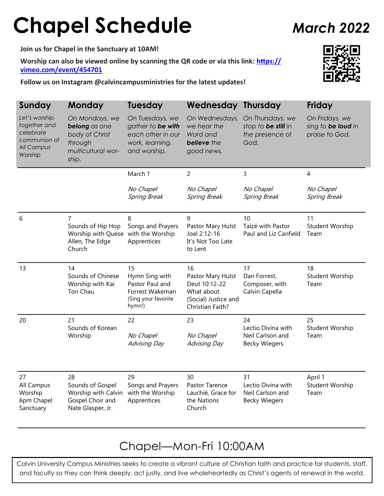# **Chapel Schedule** *March 2022*

**Join us for Chapel in the Sanctuary at 10AM!**

**Worship can also be viewed online by scanning the QR code or via this link: [https://](https://vimeo.com/event/454701) [vimeo.com/event/454701](https://vimeo.com/event/454701)**

**Follow us on Instagram @calvincampusministries for the latest updates!**



| Sunday                                                                                     | Monday                                                                                      | <b>Tuesday</b>                                                                               | <b>Wednesday Thursday</b>                                                                          |                                                                      | Friday                                                 |
|--------------------------------------------------------------------------------------------|---------------------------------------------------------------------------------------------|----------------------------------------------------------------------------------------------|----------------------------------------------------------------------------------------------------|----------------------------------------------------------------------|--------------------------------------------------------|
| Let's worship<br>together and<br>celebrate<br>communion at<br><b>All Campus</b><br>Worship | On Mondays, we<br>belong as one<br>body of Christ<br>through<br>multicultural wor-<br>ship. | On Tuesdays, we<br>gather to be with<br>each other in our<br>work, learning,<br>and worship. | On Wednesdays,<br>we hear the<br>Word and<br>believe the<br>good news.                             | On Thursdays, we<br>stop to be still in<br>the presence of<br>God.   | On Fridays, we<br>sing to be loud in<br>praise to God. |
|                                                                                            |                                                                                             | March 1                                                                                      | $\overline{2}$                                                                                     | 3                                                                    | 4                                                      |
|                                                                                            |                                                                                             | No Chapel<br><b>Spring Break</b>                                                             | No Chapel<br><b>Spring Break</b>                                                                   | No Chapel<br><b>Spring Break</b>                                     | No Chapel<br><b>Spring Break</b>                       |
| 6                                                                                          | $\overline{7}$<br>Sounds of Hip Hop<br>Worship with Quese<br>Allen, The Edge<br>Church      | 8<br>Songs and Prayers<br>with the Worship<br>Apprentices                                    | 9<br>Pastor Mary Hulst<br>Joel 2:12-16<br>It's Not Too Late<br>to Lent                             | 10<br>Taizé with Pastor<br>Paul and Liz Canfield                     | 11<br>Student Worship<br>Team                          |
| 13                                                                                         | 14<br>Sounds of Chinese<br>Worship with Kai<br>Ton Chau                                     | 15<br>Hymn Sing with<br>Pastor Paul and<br>Forrest Wakeman<br>(Sing your favorite<br>hymn!)  | 16<br>Pastor Mary Hulst<br>Deut 10:12-22<br>What about<br>(Social) Justice and<br>Christian Faith? | 17<br>Dan Forrest,<br>Composer, with<br>Calvin Capella               | 18<br>Student Worship<br>Team                          |
| 20                                                                                         | 21<br>Sounds of Korean<br>Worship                                                           | 22<br>No Chapel<br><b>Advising Day</b>                                                       | 23<br>No Chapel<br><b>Advising Day</b>                                                             | 24<br>Lectio Divina with<br>Neil Carlson and<br><b>Becky Wiegers</b> | 25<br>Student Worship<br>Team                          |
| 27<br>All Campus<br>Worship<br>6pm Chapel<br>Sanctuary                                     | 28<br>Sounds of Gospel<br>Worship with Calvin<br>Gospel Choir and<br>Nate Glasper, Jr.      | 29<br>Songs and Prayers<br>with the Worship<br>Apprentices                                   | 30<br>Pastor Tarence<br>Lauchiè, Grace for<br>the Nations<br>Church                                | 31<br>Lectio Divina with<br>Neil Carlson and<br><b>Becky Wiegers</b> | April 1<br>Student Worship<br>Team                     |

### Chapel—Mon-Fri 10:00AM